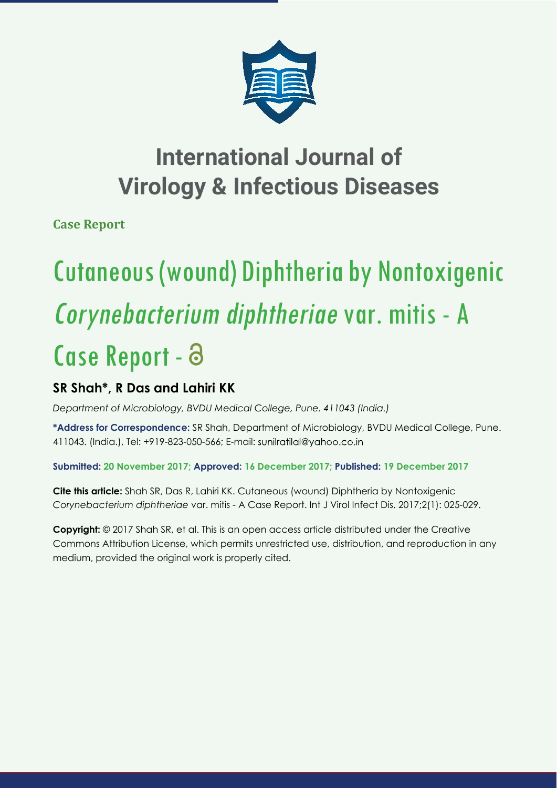

## **International Journal of Virology & Infectious Diseases**

**Case Report** 

# Cutaneous (wound) Diphtheria by Nontoxigenic Corynebacterium diphtheriae var. mitis - A Case Report - a

### **SR Shah\*, R Das and Lahiri KK**

*Department of Microbiology, BVDU Medical College, Pune. 411043 (India.)*

**\*Address for Correspondence:** SR Shah, Department of Microbiology, BVDU Medical College, Pune. 411043. (India.), Tel: +919-823-050-566; E-mail:

#### **Submitted: 20 November 2017; Approved: 16 December 2017; Published: 19 December 2017**

**Cite this article:** Shah SR, Das R, Lahiri KK. Cutaneous (wound) Diphtheria by Nontoxigenic *Corynebacterium diphtheriae* var. mitis - A Case Report. Int J Virol Infect Dis. 2017;2(1): 025-029.

**Copyright:** © 2017 Shah SR, et al. This is an open access article distributed under the Creative Commons Attribution License, which permits unrestricted use, distribution, and reproduction in any medium, provided the original work is properly cited.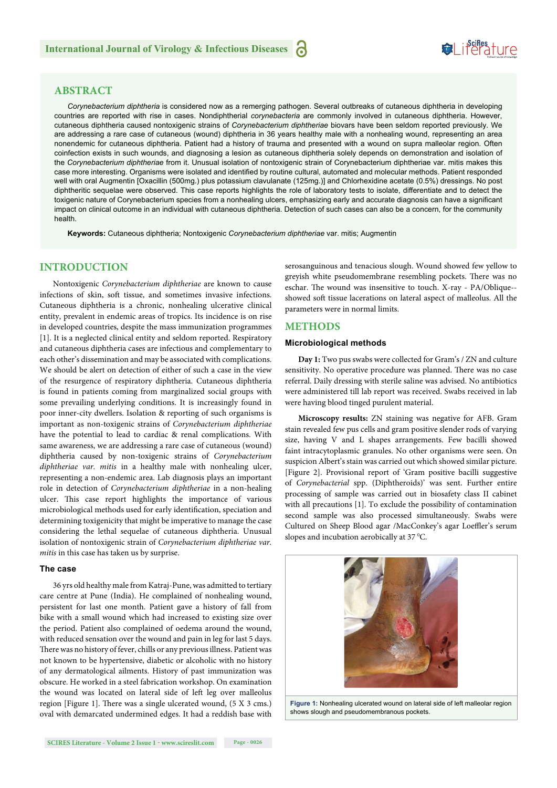## **SeiRes** ture

#### **ABSTRACT**

*Corynebacterium diphtheria* is considered now as a remerging pathogen. Several outbreaks of cutaneous diphtheria in developing countries are reported with rise in cases. Nondiphtherial *corynebacteria* are commonly involved in cutaneous diphtheria. However, cutaneous diphtheria caused nontoxigenic strains of *Corynebacterium diphtheriae* biovars have been seldom reported previously. We are addressing a rare case of cutaneous (wound) diphtheria in 36 years healthy male with a nonhealing wound, representing an area nonendemic for cutaneous diphtheria. Patient had a history of trauma and presented with a wound on supra malleolar region. Often coinfection exists in such wounds, and diagnosing a lesion as cutaneous diphtheria solely depends on demonstration and isolation of the *Corynebacterium diphtheriae* from it. Unusual isolation of nontoxigenic strain of Corynebacterium diphtheriae var. mitis makes this case more interesting. Organisms were isolated and identified by routine cultural, automated and molecular methods. Patient responded well with oral Augmentin [Oxacillin (500mg.) plus potassium clavulanate (125mg.)] and Chlorhexidine acetate (0.5%) dressings. No post diphtheritic sequelae were observed. This case reports highlights the role of laboratory tests to isolate, differentiate and to detect the toxigenic nature of Corynebacterium species from a nonhealing ulcers, emphasizing early and accurate diagnosis can have a significant impact on clinical outcome in an individual with cutaneous diphtheria. Detection of such cases can also be a concern, for the community health.

**Keywords:** Cutaneous diphtheria; Nontoxigenic *Corynebacterium diphtheriae* var. mitis; Augmentin

#### **INTRODUCTION**

Nontoxigenic *Corynebacterium diphtheriae* are known to cause infections of skin, soft tissue, and sometimes invasive infections. Cutaneous diphtheria is a chronic, nonhealing ulcerative clinical entity, prevalent in endemic areas of tropics. Its incidence is on rise in developed countries, despite the mass immunization programmes [1]. It is a neglected clinical entity and seldom reported. Respiratory and cutaneous diphtheria cases are infectious and complementary to each other's dissemination and may be associated with complications. We should be alert on detection of either of such a case in the view of the resurgence of respiratory diphtheria. Cutaneous diphtheria is found in patients coming from marginalized social groups with some prevailing underlying conditions. It is increasingly found in poor inner-city dwellers. Isolation & reporting of such organisms is important as non-toxigenic strains of *Corynebacterium diphtheriae* have the potential to lead to cardiac & renal complications. With same awareness, we are addressing a rare case of cutaneous (wound) diphtheria caused by non-toxigenic strains of *Corynebacterium diphtheriae var. mitis* in a healthy male with nonhealing ulcer, representing a non-endemic area. Lab diagnosis plays an important role in detection of *Corynebacterium diphtheriae* in a non-healing ulcer. This case report highlights the importance of various microbiological methods used for early identification, speciation and determining toxigenicity that might be imperative to manage the case considering the lethal sequelae of cutaneous diphtheria. Unusual isolation of nontoxigenic strain of *Corynebacterium diphtheriae var. mitis* in this case has taken us by surprise.

#### **The case**

36 yrs old healthy male from Katraj-Pune, was admitted to tertiary care centre at Pune (India). He complained of nonhealing wound, persistent for last one month. Patient gave a history of fall from bike with a small wound which had increased to existing size over the period. Patient also complained of oedema around the wound, with reduced sensation over the wound and pain in leg for last 5 days. There was no history of fever, chills or any previous illness. Patient was not known to be hypertensive, diabetic or alcoholic with no history of any dermatological ailments. History of past immunization was obscure. He worked in a steel fabrication workshop. On examination the wound was located on lateral side of left leg over malleolus region [Figure 1]. There was a single ulcerated wound,  $(5 \text{ X } 3 \text{ cm s.})$ oval with demarcated undermined edges. It had a reddish base with serosanguinous and tenacious slough. Wound showed few yellow to greyish white pseudomembrane resembling pockets. There was no eschar. The wound was insensitive to touch. X-ray - PA/Oblique-showed soft tissue lacerations on lateral aspect of malleolus. All the parameters were in normal limits.

#### **METHODS**

#### **Microbiological methods**

**Day 1:** Two pus swabs were collected for Gram's / ZN and culture sensitivity. No operative procedure was planned. There was no case referral. Daily dressing with sterile saline was advised. No antibiotics were administered till lab report was received. Swabs received in lab were having blood tinged purulent material.

**Microscopy results:** ZN staining was negative for AFB. Gram stain revealed few pus cells and gram positive slender rods of varying size, having V and L shapes arrangements. Few bacilli showed faint intracytoplasmic granules. No other organisms were seen. On suspicion Albert's stain was carried out which showed similar picture. [Figure 2]. Provisional report of 'Gram positive bacilli suggestive of *Corynebacterial* spp. (Diphtheroids)' was sent. Further entire processing of sample was carried out in biosafety class II cabinet with all precautions [1]. To exclude the possibility of contamination second sample was also processed simultaneously. Swabs were Cultured on Sheep Blood agar /MacConkey's agar Loeffler's serum slopes and incubation aerobically at 37  $^{\circ}$ C.



**Figure 1:** Nonhealing ulcerated wound on lateral side of left malleolar region shows slough and pseudomembranous pockets.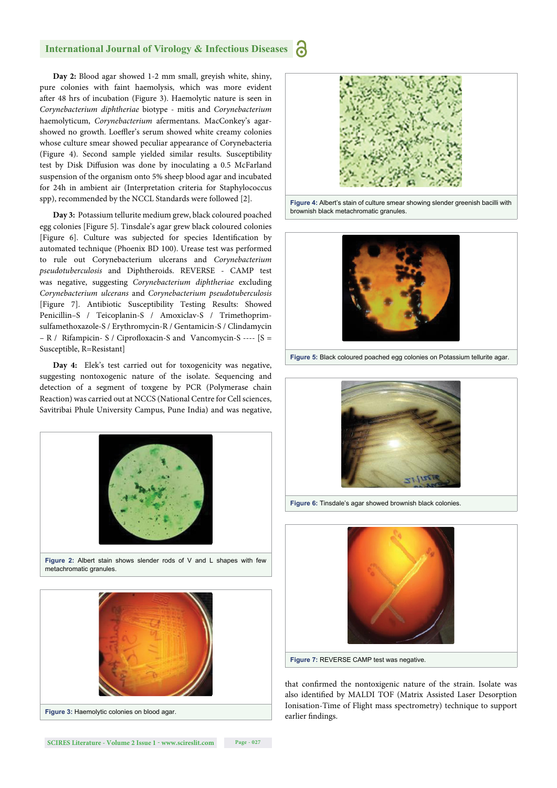#### **International Journal of Virology & Infectious Diseases**

**Day 2:** Blood agar showed 1-2 mm small, greyish white, shiny, pure colonies with faint haemolysis, which was more evident after 48 hrs of incubation (Figure 3). Haemolytic nature is seen in *Corynebacterium diphtheriae* biotype - mitis and *Corynebacterium* haemolyticum, *Corynebacterium* afermentans. MacConkey's agarshowed no growth. Loeffler's serum showed white creamy colonies whose culture smear showed peculiar appearance of Corynebacteria (Figure 4). Second sample yielded similar results. Susceptibility test by Disk Diffusion was done by inoculating a 0.5 McFarland suspension of the organism onto 5% sheep blood agar and incubated for 24h in ambient air (Interpretation criteria for Staphylococcus spp), recommended by the NCCL Standards were followed [2].

**Day 3:** Potassium tellurite medium grew, black coloured poached egg colonies [Figure 5]. Tinsdale's agar grew black coloured colonies [Figure 6]. Culture was subjected for species Identification by automated technique (Phoenix BD 100). Urease test was performed to rule out Corynebacterium ulcerans and *Corynebacterium pseudotuberculosis* and Diphtheroids. REVERSE - CAMP test was negative, suggesting *Corynebacterium diphtheriae* excluding *Corynebacterium ulcerans* and *Corynebacterium pseudotuberculosis* [Figure 7]. Antibiotic Susceptibility Testing Results: Showed Penicillin–S / Teicoplanin-S / Amoxiclav-S / Trimethoprimsulfamethoxazole-S / Erythromycin-R / Gentamicin-S / Clindamycin  $- R$  / Rifampicin- S / Ciprofloxacin-S and Vancomycin-S ----  $[S =$ Susceptible, R=Resistant]

**Day 4:** Elek's test carried out for toxogenicity was negative, suggesting nontoxogenic nature of the isolate. Sequencing and detection of a segment of toxgene by PCR (Polymerase chain Reaction) was carried out at NCCS (National Centre for Cell sciences, Savitribai Phule University Campus, Pune India) and was negative,









**Figure 4:** Albert's stain of culture smear showing slender greenish bacilli with brownish black metachromatic granules.



**Figure 5:** Black coloured poached egg colonies on Potassium tellurite agar.



**Figure 6:** Tinsdale's agar showed brownish black colonies.



that confirmed the nontoxigenic nature of the strain. Isolate was also identified by MALDI TOF (Matrix Assisted Laser Desorption Ionisation-Time of Flight mass spectrometry) technique to support earlier findings.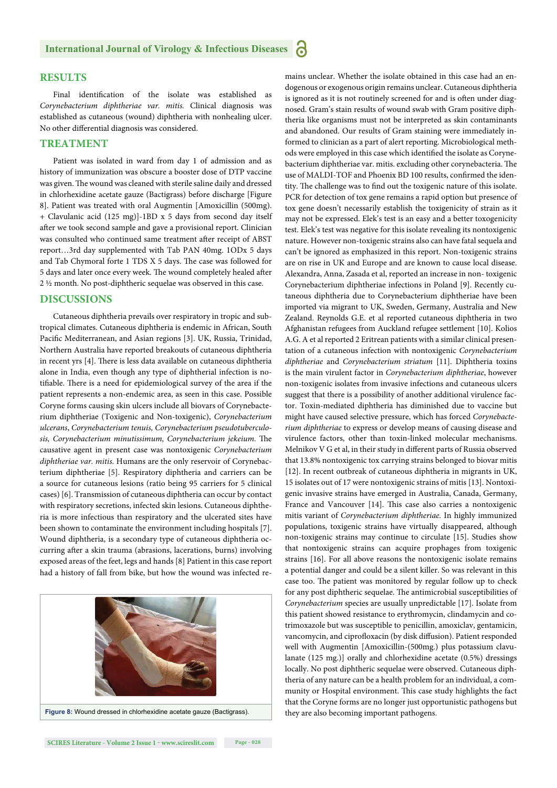#### **RESULTS**

Final identification of the isolate was established as *Corynebacterium diphtheriae var. mitis.* Clinical diagnosis was established as cutaneous (wound) diphtheria with nonhealing ulcer. No other differential diagnosis was considered.

#### **TREATMENT**

Patient was isolated in ward from day 1 of admission and as history of immunization was obscure a booster dose of DTP vaccine was given. The wound was cleaned with sterile saline daily and dressed in chlorhexidine acetate gauze (Bactigrass) before discharge [Figure 8]. Patient was treated with oral Augmentin [Amoxicillin (500mg). + Clavulanic acid (125 mg)]-1BD x 5 days from second day itself after we took second sample and gave a provisional report. Clinician was consulted who continued same treatment after receipt of ABST report…3rd day supplemented with Tab PAN 40mg. 1ODx 5 days and Tab Chymoral forte 1 TDS X 5 days. The case was followed for 5 days and later once every week. The wound completely healed after 2 ½ month. No post-diphtheric sequelae was observed in this case.

#### **DISCUSSIONS**

Cutaneous diphtheria prevails over respiratory in tropic and subtropical climates. Cutaneous diphtheria is endemic in African, South Pacific Mediterranean, and Asian regions [3]. UK, Russia, Trinidad, Northern Australia have reported breakouts of cutaneous diphtheria in recent yrs [4]. There is less data available on cutaneous diphtheria alone in India, even though any type of diphtherial infection is notifiable. There is a need for epidemiological survey of the area if the patient represents a non-endemic area, as seen in this case. Possible Coryne forms causing skin ulcers include all biovars of Corynebacterium diphtheriae (Toxigenic and Non-toxigenic), *Corynebacterium ulcerans*, *Corynebacterium tenuis, Corynebacterium pseudotuberculo*sis, Corynebacterium minutissimum, Corynebacterium jekeium. The causative agent in present case was nontoxigenic *Corynebacterium diphtheriae var. mitis*. Humans are the only reservoir of Corynebacterium diphtheriae [5]. Respiratory diphtheria and carriers can be a source for cutaneous lesions (ratio being 95 carriers for 5 clinical cases) [6]. Transmission of cutaneous diphtheria can occur by contact with respiratory secretions, infected skin lesions. Cutaneous diphtheria is more infectious than respiratory and the ulcerated sites have been shown to contaminate the environment including hospitals [7]. Wound diphtheria, is a secondary type of cutaneous diphtheria occurring after a skin trauma (abrasions, lacerations, burns) involving exposed areas of the feet, legs and hands [8] Patient in this case report had a history of fall from bike, but how the wound was infected re-



mains unclear. Whether the isolate obtained in this case had an endogenous or exogenous origin remains unclear. Cutaneous diphtheria is ignored as it is not routinely screened for and is often under diagnosed. Gram's stain results of wound swab with Gram positive diphtheria like organisms must not be interpreted as skin contaminants and abandoned. Our results of Gram staining were immediately informed to clinician as a part of alert reporting. Microbiological methods were employed in this case which identified the isolate as Corynebacterium diphtheriae var. mitis. excluding other corynebacteria. The use of MALDI-TOF and Phoenix BD 100 results, confirmed the identity. The challenge was to find out the toxigenic nature of this isolate. PCR for detection of tox gene remains a rapid option but presence of tox gene doesn't necessarily establish the toxigenicity of strain as it may not be expressed. Elek's test is an easy and a better toxogenicity test. Elek's test was negative for this isolate revealing its nontoxigenic nature. However non-toxigenic strains also can have fatal sequela and can't be ignored as emphasized in this report. Non-toxigenic strains are on rise in UK and Europe and are known to cause local disease. Alexandra, Anna, Zasada et al, reported an increase in non- toxigenic Corynebacterium diphtheriae infections in Poland [9]. Recently cutaneous diphtheria due to Corynebacterium diphtheriae have been imported via migrant to UK, Sweden, Germany, Australia and New Zealand. Reynolds G.E. et al reported cutaneous diphtheria in two Afghanistan refugees from Auckland refugee settlement [10]. Kolios A.G. A et al reported 2 Eritrean patients with a similar clinical presentation of a cutaneous infection with nontoxigenic *Corynebacterium diphtheriae* and *Corynebacterium striatum* [11]. Diphtheria toxins is the main virulent factor in *Corynebacterium diphtheriae*, however non-toxigenic isolates from invasive infections and cutaneous ulcers suggest that there is a possibility of another additional virulence factor. Toxin-mediated diphtheria has diminished due to vaccine but might have caused selective pressure, which has forced *Corynebacterium diphtheriae* to express or develop means of causing disease and virulence factors, other than toxin-linked molecular mechanisms. Melnikov V G et al, in their study in different parts of Russia observed that 13.8% nontoxigenic tox carrying strains belonged to biovar mitis [12]. In recent outbreak of cutaneous diphtheria in migrants in UK, 15 isolates out of 17 were nontoxigenic strains of mitis [13]. Nontoxigenic invasive strains have emerged in Australia, Canada, Germany, France and Vancouver [14]. This case also carries a nontoxigenic mitis variant of *Corynebacterium diphtheriae.* In highly immunized populations, toxigenic strains have virtually disappeared, although non-toxigenic strains may continue to circulate [15]. Studies show that nontoxigenic strains can acquire prophages from toxigenic strains [16]. For all above reasons the nontoxigenic isolate remains a potential danger and could be a silent killer. So was relevant in this case too. The patient was monitored by regular follow up to check for any post diphtheric sequelae. The antimicrobial susceptibilities of *Corynebacterium* species are usually unpredictable [17]. Isolate from this patient showed resistance to erythromycin, clindamycin and cotrimoxazole but was susceptible to penicillin, amoxiclav, gentamicin, vancomycin, and ciprofloxacin (by disk diffusion). Patient responded well with Augmentin [Amoxicillin-(500mg.) plus potassium clavulanate (125 mg.)] orally and chlorhexidine acetate (0.5%) dressings locally. No post diphtheric sequelae were observed. Cutaneous diphtheria of any nature can be a health problem for an individual, a community or Hospital environment. This case study highlights the fact that the Coryne forms are no longer just opportunistic pathogens but